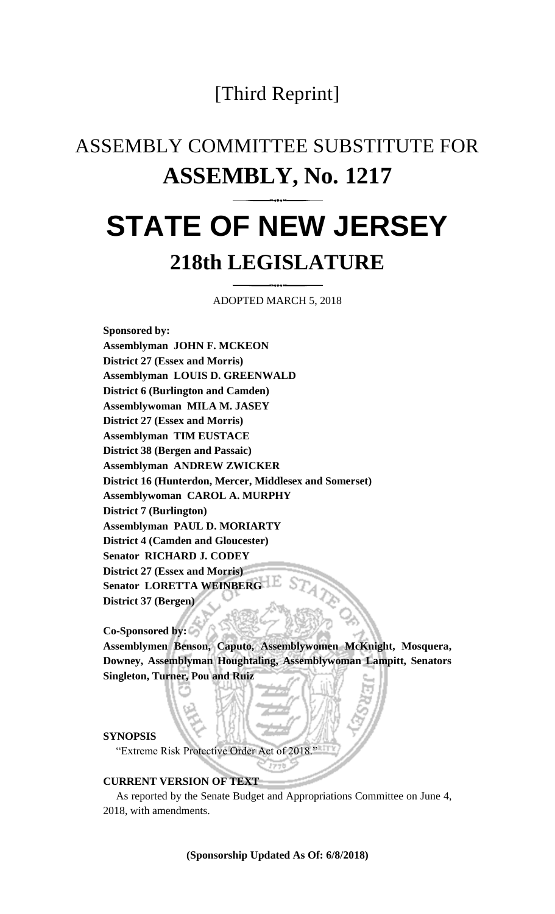## [Third Reprint]

# ASSEMBLY COMMITTEE SUBSTITUTE FOR **ASSEMBLY, No. 1217**

## **STATE OF NEW JERSEY 218th LEGISLATURE**

ADOPTED MARCH 5, 2018

**Sponsored by: Assemblyman JOHN F. MCKEON District 27 (Essex and Morris) Assemblyman LOUIS D. GREENWALD District 6 (Burlington and Camden) Assemblywoman MILA M. JASEY District 27 (Essex and Morris) Assemblyman TIM EUSTACE District 38 (Bergen and Passaic) Assemblyman ANDREW ZWICKER District 16 (Hunterdon, Mercer, Middlesex and Somerset) Assemblywoman CAROL A. MURPHY District 7 (Burlington) Assemblyman PAUL D. MORIARTY District 4 (Camden and Gloucester) Senator RICHARD J. CODEY District 27 (Essex and Morris)** Senator LORETTA WEINBERG **District 37 (Bergen)**

#### **Co-Sponsored by:**

**Assemblymen Benson, Caputo, Assemblywomen McKnight, Mosquera, Downey, Assemblyman Houghtaling, Assemblywoman Lampitt, Senators Singleton, Turner, Pou and Ruiz**

#### **SYNOPSIS**

"Extreme Risk Protective Order Act of 2018."

#### **CURRENT VERSION OF TEXT**

As reported by the Senate Budget and Appropriations Committee on June 4, 2018, with amendments.

リアサカ

**(Sponsorship Updated As Of: 6/8/2018)**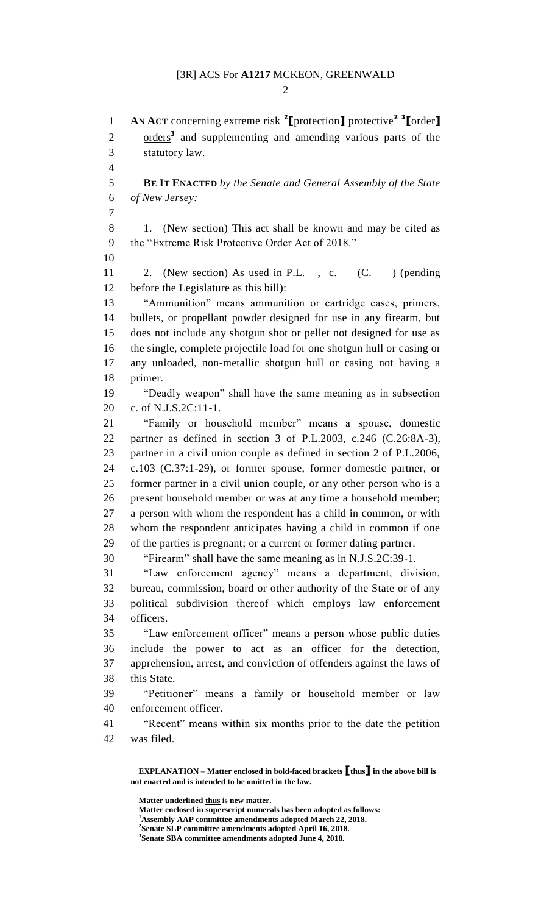$\mathcal{D}$ 

**AN ACT** concerning extreme risk **<sup>2</sup> [**protection**]** protective**<sup>2</sup> <sup>3</sup> [**order**]** 2 orders<sup>3</sup> and supplementing and amending various parts of the statutory law. **BE IT ENACTED** *by the Senate and General Assembly of the State of New Jersey:* 8 1. (New section) This act shall be known and may be cited as the "Extreme Risk Protective Order Act of 2018." 2. (New section) As used in P.L. , c. (C. ) (pending before the Legislature as this bill): "Ammunition" means ammunition or cartridge cases, primers, bullets, or propellant powder designed for use in any firearm, but does not include any shotgun shot or pellet not designed for use as the single, complete projectile load for one shotgun hull or casing or any unloaded, non-metallic shotgun hull or casing not having a primer. "Deadly weapon" shall have the same meaning as in subsection c. of N.J.S.2C:11-1. "Family or household member" means a spouse, domestic partner as defined in section 3 of P.L.2003, c.246 (C.26:8A-3), partner in a civil union couple as defined in section 2 of P.L.2006, c.103 (C.37:1-29), or former spouse, former domestic partner, or former partner in a civil union couple, or any other person who is a present household member or was at any time a household member; a person with whom the respondent has a child in common, or with whom the respondent anticipates having a child in common if one of the parties is pregnant; or a current or former dating partner. "Firearm" shall have the same meaning as in N.J.S.2C:39-1. "Law enforcement agency" means a department, division, bureau, commission, board or other authority of the State or of any political subdivision thereof which employs law enforcement officers. "Law enforcement officer" means a person whose public duties include the power to act as an officer for the detection, apprehension, arrest, and conviction of offenders against the laws of this State. "Petitioner" means a family or household member or law enforcement officer. "Recent" means within six months prior to the date the petition was filed.

**EXPLANATION – Matter enclosed in bold-faced brackets [thus] in the above bill is not enacted and is intended to be omitted in the law.**

**Matter underlined thus is new matter.**

**Matter enclosed in superscript numerals has been adopted as follows:**

**Assembly AAP committee amendments adopted March 22, 2018.**

**Senate SLP committee amendments adopted April 16, 2018.**

**Senate SBA committee amendments adopted June 4, 2018.**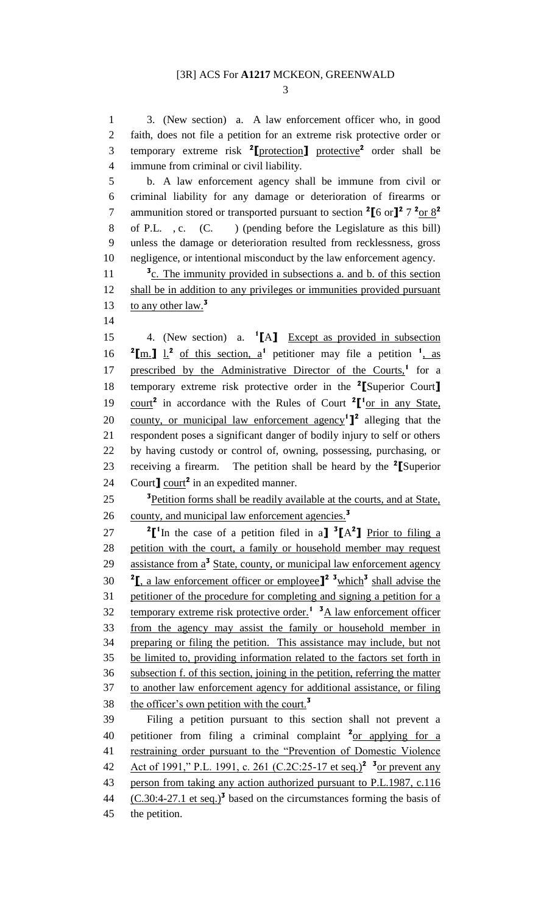3

1 3. (New section) a. A law enforcement officer who, in good 2 faith, does not file a petition for an extreme risk protective order or temporary extreme risk **<sup>2</sup> [**protection**]** protective**<sup>2</sup>** 3 order shall be 4 immune from criminal or civil liability. 5 b. A law enforcement agency shall be immune from civil or 6 criminal liability for any damage or deterioration of firearms or ammunition stored or transported pursuant to section  ${}^{2}$ [6 or]<sup>2</sup> 7<sup>2</sup> or 8<sup>2</sup> 7 8 of P.L. , c. (C. ) (pending before the Legislature as this bill) 9 unless the damage or deterioration resulted from recklessness, gross 10 negligence, or intentional misconduct by the law enforcement agency. <sup>3</sup><sub>C.</sub> The immunity provided in subsections a. and b. of this section 12 shall be in addition to any privileges or immunities provided pursuant to any other law.**<sup>3</sup>** 13 14 4. (New section) a. **1** 15 **[**A**]** Except as provided in subsection 16  ${}^{2}$ [m.]  $I^2$  of this section, a<sup>1</sup> petitioner may file a petition  ${}^{1}$ , as 17 prescribed by the Administrative Director of the Courts,<sup>1</sup> for a temporary extreme risk protective order in the **<sup>2</sup>** 18 **[**Superior Court**]** 19 court<sup>2</sup> in accordance with the Rules of Court  $2\mathbf{I}^1$  or in any State, 20 county, or municipal law enforcement agency<sup>1</sup><sup>2</sup> alleging that the 21 respondent poses a significant danger of bodily injury to self or others 22 by having custody or control of, owning, possessing, purchasing, or receiving a firearm. The petition shall be heard by the **<sup>2</sup>** 23 **[**Superior 24 Court**]** court<sup>2</sup> in an expedited manner. <sup>3</sup> Petition forms shall be readily available at the courts, and at State, county, and municipal law enforcement agencies.**<sup>3</sup>** 26 27  $\frac{1}{2}$  **l**<sup>1</sup>In the case of a petition filed in a<sup> $\frac{1}{2}$ </sup>  $\frac{1}{2}$   $\frac{1}{2}$  Prior to filing a 28 petition with the court, a family or household member may request 29 assistance from a<sup>3</sup> State, county, or municipal law enforcement agency 20 <sup>2</sup>**I**, a law enforcement officer or employee<sup>1</sup><sup>2</sup> <sup>3</sup><sub>which</sub><sup>3</sup> shall advise the 31 petitioner of the procedure for completing and signing a petition for a 32 temporary extreme risk protective order.<sup>1</sup> <sup>3</sup>A law enforcement officer 33 from the agency may assist the family or household member in 34 preparing or filing the petition. This assistance may include, but not 35 be limited to, providing information related to the factors set forth in 36 subsection f. of this section, joining in the petition, referring the matter 37 to another law enforcement agency for additional assistance, or filing the officer's own petition with the court.**<sup>3</sup>** 38 39 Filing a petition pursuant to this section shall not prevent a 40 petitioner from filing a criminal complaint <sup>2</sup><u>or applying for a</u> 41 restraining order pursuant to the "Prevention of Domestic Violence 42 Act of 1991," P.L. 1991, c. 261 (C.2C:25-17 et seq.)<sup>2</sup> <sup>3</sup> or prevent any 43 person from taking any action authorized pursuant to P.L.1987, c.116 44  $(C.30:4-27.1$  et seq.)<sup>3</sup> based on the circumstances forming the basis of 45 the petition.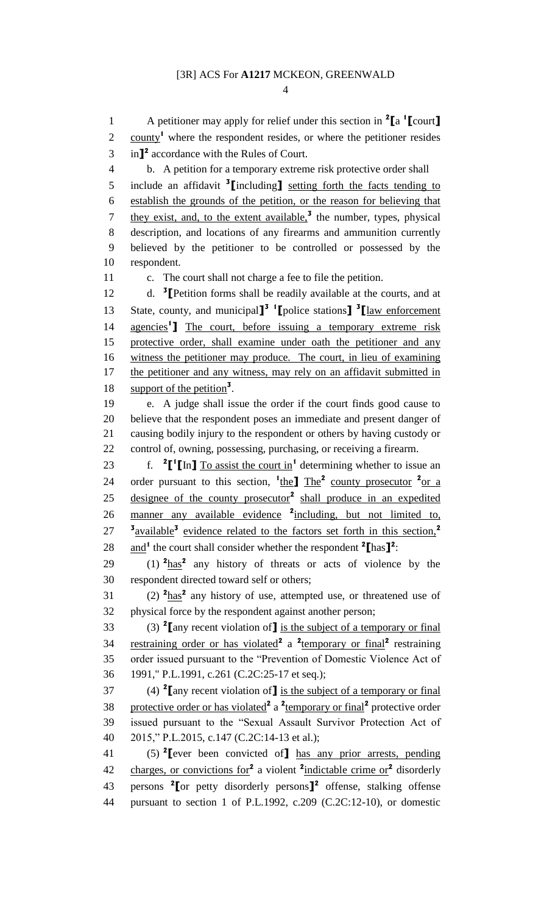$\Delta$ 

A petitioner may apply for relief under this section in **<sup>2</sup> [**a **<sup>1</sup>** 1 **[**court**]** 2 county<sup>1</sup> where the respondent resides, or where the petitioner resides in**] 2** 3 accordance with the Rules of Court. 4 b. A petition for a temporary extreme risk protective order shall

include an affidavit **<sup>3</sup>** 5 **[**including**]** setting forth the facts tending to establish the grounds of the petition, or the reason for believing that 7 they exist, and, to the extent available,<sup>3</sup> the number, types, physical description, and locations of any firearms and ammunition currently believed by the petitioner to be controlled or possessed by the respondent.

11 c. The court shall not charge a fee to file the petition.

12 d. <sup>3</sup> Petition forms shall be readily available at the courts, and at State, county, and municipal**] 3 1 [**police stations**] 3** 13 **[**law enforcement 14 **agencies<sup>1</sup>** The court, before issuing a temporary extreme risk 15 protective order, shall examine under oath the petitioner and any 16 witness the petitioner may produce. The court, in lieu of examining 17 the petitioner and any witness, may rely on an affidavit submitted in 18 support of the petition<sup>3</sup>.

 e. A judge shall issue the order if the court finds good cause to believe that the respondent poses an immediate and present danger of causing bodily injury to the respondent or others by having custody or control of, owning, possessing, purchasing, or receiving a firearm.

23 f.  ${}^{2}$  $[$ <sup>t</sup> $[$ In<sub></sub> $]$  $\overline{1}$  $\overline{0}$  assist the court in<sup>1</sup> determining whether to issue an 24 order pursuant to this section,  $\frac{1_{\text{the}}}{2 \text{ The}}$  county prosecutor  $\frac{2_{\text{or a}}}{2}$ 25 designee of the county prosecutor<sup>2</sup> shall produce in an expedited 26 manner any available evidence <sup>2</sup>including, but not limited to, <sup>3</sup> available<sup>3</sup> evidence related to the factors set forth in this section,<sup>2</sup> 27 28  $\text{and}^1$  the court shall consider whether the respondent  $^2$  [has ]<sup>2</sup>:

29 (1)  $\frac{2 \text{ has}}{2}$  any history of threats or acts of violence by the 30 respondent directed toward self or others;

31 (2)  $\frac{2 \text{ has}^2}{2}$  any history of use, attempted use, or threatened use of 32 physical force by the respondent against another person;

 $(3)$   $\binom{2}{1}$  any recent violation of **i** is the subject of a temporary or final 34 restraining order or has violated<sup>2</sup> a <sup>2</sup> temporary or final<sup>2</sup> restraining 35 order issued pursuant to the "Prevention of Domestic Violence Act of 36 1991," P.L.1991, c.261 (C.2C:25-17 et seq.);

 $(4)$  <sup>2</sup> [any recent violation of ] is the subject of a temporary or final 38 protective order or has violated<sup>2</sup> a <sup>2</sup> temporary or final<sup>2</sup> protective order 39 issued pursuant to the "Sexual Assault Survivor Protection Act of 40 2015," P.L.2015, c.147 (C.2C:14-13 et al.);

(5) **<sup>2</sup>** 41 **[**ever been convicted of**]** has any prior arrests, pending charges, or convictions for**<sup>2</sup>** a violent **<sup>2</sup>** indictable crime or**<sup>2</sup>** 42 disorderly persons **<sup>2</sup> [**or petty disorderly persons**] 2** 43 offense, stalking offense 44 pursuant to section 1 of P.L.1992, c.209 (C.2C:12-10), or domestic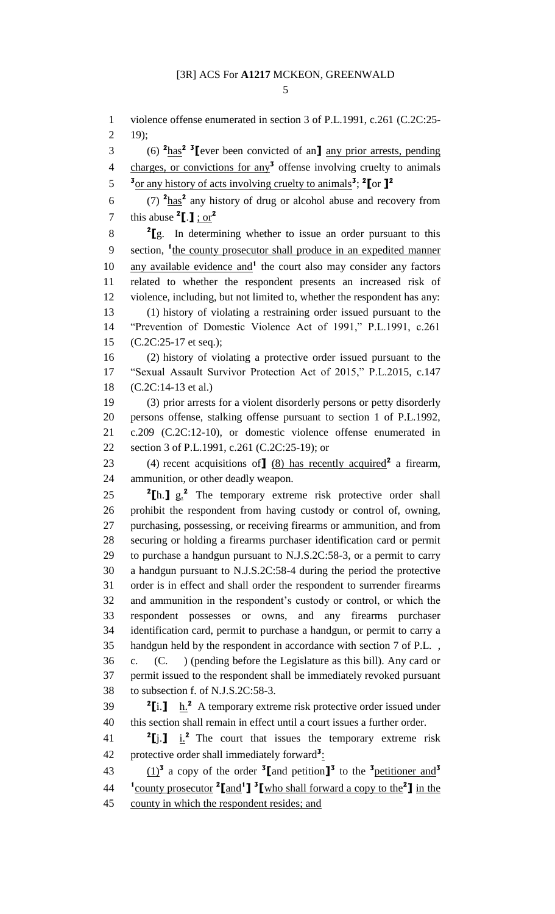violence offense enumerated in section 3 of P.L.1991, c.261 (C.2C:25-  $2 \t19$ : (6) **<sup>2</sup>** has**<sup>2</sup> <sup>3</sup> [**ever been convicted of an**]** any prior arrests, pending 4 charges, or convictions for any<sup>3</sup> offense involving cruelty to animals **<sup>3</sup>**<sub>Or any history of acts involving cruelty to animals<sup>3</sup>; <sup>2</sup>[ or ]<sup>2</sup></sub> (7) **<sup>2</sup>** has**<sup>2</sup>** any history of drug or alcohol abuse and recovery from this abuse **<sup>2</sup> [**.**]** ; or**<sup>2</sup> [**g. In determining whether to issue an order pursuant to this 9 section, <sup>1</sup>the county prosecutor shall produce in an expedited manner 10 any available evidence and<sup>1</sup> the court also may consider any factors related to whether the respondent presents an increased risk of violence, including, but not limited to, whether the respondent has any: (1) history of violating a restraining order issued pursuant to the "Prevention of Domestic Violence Act of 1991," P.L.1991, c.261 (C.2C:25-17 et seq.); (2) history of violating a protective order issued pursuant to the "Sexual Assault Survivor Protection Act of 2015," P.L.2015, c.147 (C.2C:14-13 et al.) (3) prior arrests for a violent disorderly persons or petty disorderly persons offense, stalking offense pursuant to section 1 of P.L.1992, c.209 (C.2C:12-10), or domestic violence offense enumerated in section 3 of P.L.1991, c.261 (C.2C:25-19); or 23 (4) recent acquisitions of  $\int$  (8) has recently acquired<sup>2</sup> a firearm, ammunition, or other deadly weapon.  $\frac{2 \text{th}}{\text{th}}$   $\frac{1 \text{g}^2}{\text{s}^2}$  The temporary extreme risk protective order shall prohibit the respondent from having custody or control of, owning, purchasing, possessing, or receiving firearms or ammunition, and from securing or holding a firearms purchaser identification card or permit to purchase a handgun pursuant to N.J.S.2C:58-3, or a permit to carry a handgun pursuant to N.J.S.2C:58-4 during the period the protective order is in effect and shall order the respondent to surrender firearms and ammunition in the respondent's custody or control, or which the respondent possesses or owns, and any firearms purchaser identification card, permit to purchase a handgun, or permit to carry a handgun held by the respondent in accordance with section 7 of P.L. , c. (C. ) (pending before the Legislature as this bill). Any card or permit issued to the respondent shall be immediately revoked pursuant to subsection f. of N.J.S.2C:58-3. **21.**  $\frac{h}{2}$  **h.** <sup>2</sup> A temporary extreme risk protective order issued under this section shall remain in effect until a court issues a further order. **[j.]**  $i^2$  The court that issues the temporary extreme risk 42 protective order shall immediately forward<sup>3</sup>:  $(1)^3$  a copy of the order <sup>3</sup>[and petition]<sup>3</sup> to the <sup>3</sup>petitioner and<sup>3</sup> county prosecutor **<sup>2</sup> [**and**<sup>1</sup> ] 3 [**who shall forward a copy to the**<sup>2</sup> ]** in the county in which the respondent resides; and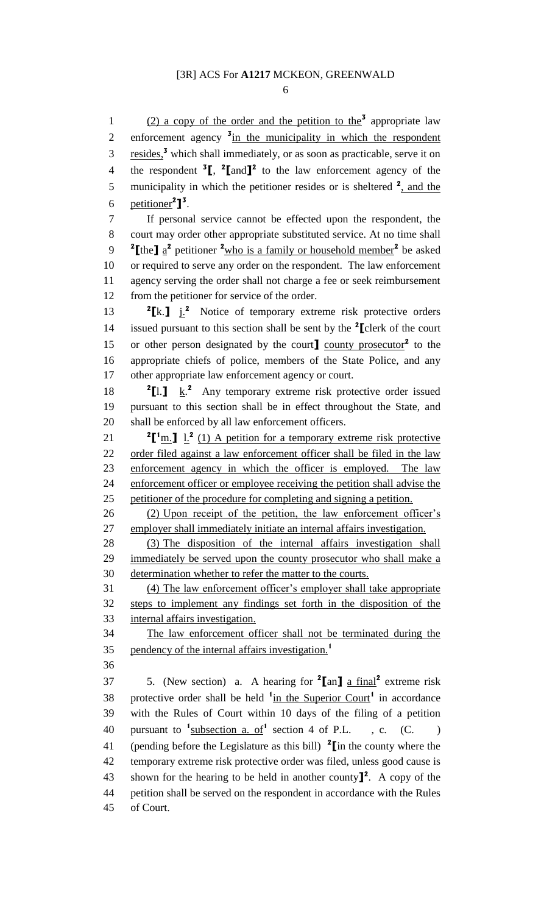1 (2) a copy of the order and the petition to the<sup>3</sup> appropriate law 2 enforcement agency <sup>3</sup> in the municipality in which the respondent 3 resides,<sup>3</sup> which shall immediately, or as soon as practicable, serve it on 4 the respondent  ${}^{3}$ [,  ${}^{2}$ [and]<sup>2</sup> to the law enforcement agency of the 5 municipality in which the petitioner resides or is sheltered  $\frac{2}{x}$ , and the petitioner**<sup>2</sup> ] 3** . If personal service cannot be effected upon the respondent, the court may order other appropriate substituted service. At no time shall  $\left[ \frac{a^2}{2} \right]$  petitioner  $\frac{2a}{2}$  who is a family or household member be asked or required to serve any order on the respondent. The law enforcement agency serving the order shall not charge a fee or seek reimbursement from the petitioner for service of the order.  ${}^{2}$ **[k.]**  $\underline{i}$ <sup>2</sup> Notice of temporary extreme risk protective orders issued pursuant to this section shall be sent by the **<sup>2</sup> [**clerk of the court 15 or other person designated by the court] county prosecutor<sup>2</sup> to the appropriate chiefs of police, members of the State Police, and any other appropriate law enforcement agency or court.  $\frac{2}{\pi}$ . **1** k.<sup>2</sup> Any temporary extreme risk protective order issued pursuant to this section shall be in effect throughout the State, and shall be enforced by all law enforcement officers.  ${}^{2}$ **[<sup>1</sup>m.]** 1.<sup>2</sup> (1) A petition for a temporary extreme risk protective 22 order filed against a law enforcement officer shall be filed in the law enforcement agency in which the officer is employed. The law enforcement officer or employee receiving the petition shall advise the petitioner of the procedure for completing and signing a petition. 26 (2) Upon receipt of the petition, the law enforcement officer's employer shall immediately initiate an internal affairs investigation. (3) The disposition of the internal affairs investigation shall immediately be served upon the county prosecutor who shall make a determination whether to refer the matter to the courts. (4) The law enforcement officer's employer shall take appropriate steps to implement any findings set forth in the disposition of the internal affairs investigation. The law enforcement officer shall not be terminated during the pendency of the internal affairs investigation.**<sup>1</sup>** 5. (New section) a. A hearing for **<sup>2</sup> [**an**]** a final**<sup>2</sup>** extreme risk 38 protective order shall be held <sup>1</sup>in the Superior Court<sup>1</sup> in accordance with the Rules of Court within 10 days of the filing of a petition 40 pursuant to  $\frac{1}{1}$  subsection a. of  $\frac{1}{1}$  section 4 of P.L., c. (C. ) 41 (pending before the Legislature as this bill)  $^2$ **[**in the county where the temporary extreme risk protective order was filed, unless good cause is 43 shown for the hearing to be held in another county  $\mathbf{I}^2$ . A copy of the petition shall be served on the respondent in accordance with the Rules of Court.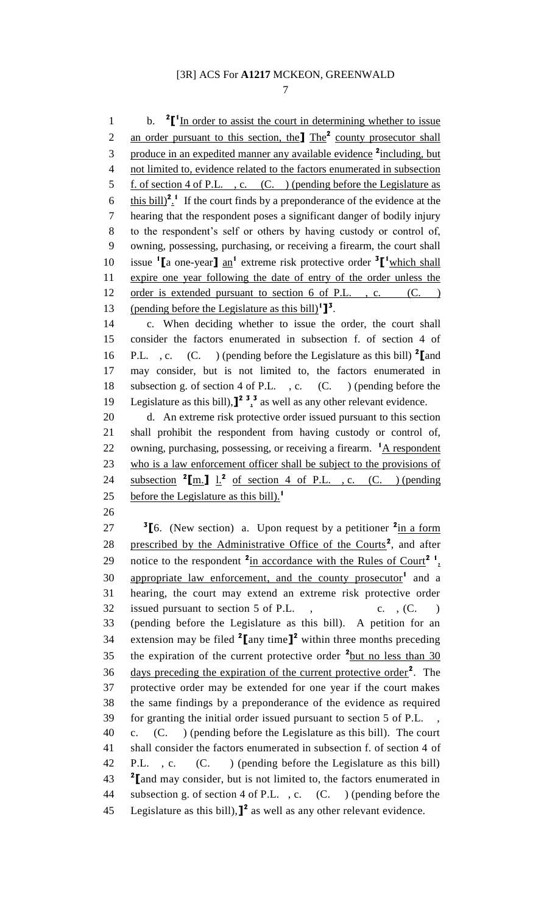7

1 b.  ${}^{2}$  $[$ <sup>t</sup> $\frac{In order to assist the court in determining whether to issue$ 2 an order pursuant to this section, the<sup>1</sup> The<sup>2</sup> county prosecutor shall 3 produce in an expedited manner any available evidence <sup>2</sup>including, but 4 not limited to, evidence related to the factors enumerated in subsection 5 f. of section 4 of P.L. , c. (C. ) (pending before the Legislature as 6  $\frac{\text{this bill}}{\text{?}}$ <sup>1</sup>. If the court finds by a preponderance of the evidence at the 7 hearing that the respondent poses a significant danger of bodily injury 8 to the respondent's self or others by having custody or control of, 9 owning, possessing, purchasing, or receiving a firearm, the court shall 10 issue  ${}^{1}$ [a one-year]  $\underline{an}^{1}$  extreme risk protective order  ${}^{3}$ [ ${}^{1}$ <sub>Which shall</sub>] 11 expire one year following the date of entry of the order unless the 12 order is extended pursuant to section 6 of P.L., c. (C.) (pending before the Legislature as this bill)**<sup>1</sup> ] 3** 13 . 14 c. When deciding whether to issue the order, the court shall 15 consider the factors enumerated in subsection f. of section 4 of 16 P.L. , c.  $(C. )$  (pending before the Legislature as this bill) <sup>2</sup> [and 17 may consider, but is not limited to, the factors enumerated in 18 subsection g. of section 4 of P.L. , c. (C. ) (pending before the 19 Legislature as this bill),  $\int_1^2 \frac{3}{1^2}$  as well as any other relevant evidence. 20 d. An extreme risk protective order issued pursuant to this section 21 shall prohibit the respondent from having custody or control of, 22 owning, purchasing, possessing, or receiving a firearm. <sup>1</sup>A respondent 23 who is a law enforcement officer shall be subject to the provisions of 24 subsection  ${}^{2}$ [m.]  $I.^{2}$  of section 4 of P.L., c. (C. ) (pending before the Legislature as this bill).**<sup>1</sup>** 25 26 27  $\bullet$  **I**<sup>6</sup>. (New section) a. Upon request by a petitioner  $\frac{2 \text{ in a form}}{2 \text{ in a form}}$ 28 prescribed by the Administrative Office of the Courts<sup>2</sup>, and after 29 notice to the respondent <sup>2</sup>in accordance with the Rules of Court<sup>2</sup><sup>1</sup>, 30 appropriate law enforcement, and the county prosecutor<sup>1</sup> and a 31 hearing, the court may extend an extreme risk protective order  $32$  issued pursuant to section 5 of P.L., c., (C.) 33 (pending before the Legislature as this bill). A petition for an 34 extension may be filed  $2$  any time  $\mathbf{I}^2$  within three months preceding 35 the expiration of the current protective order <sup>2</sup>but no less than 30 36 days preceding the expiration of the current protective order<sup>2</sup>. The 37 protective order may be extended for one year if the court makes 38 the same findings by a preponderance of the evidence as required 39 for granting the initial order issued pursuant to section 5 of P.L. , 40 c. (C. ) (pending before the Legislature as this bill). The court 41 shall consider the factors enumerated in subsection f. of section 4 of 42 P.L. , c. (C. ) (pending before the Legislature as this bill) <sup>2</sup> [and may consider, but is not limited to, the factors enumerated in 44 subsection g. of section 4 of P.L. , c. (C. ) (pending before the 45 Legislature as this bill),  $\mathbf{l}^2$  as well as any other relevant evidence.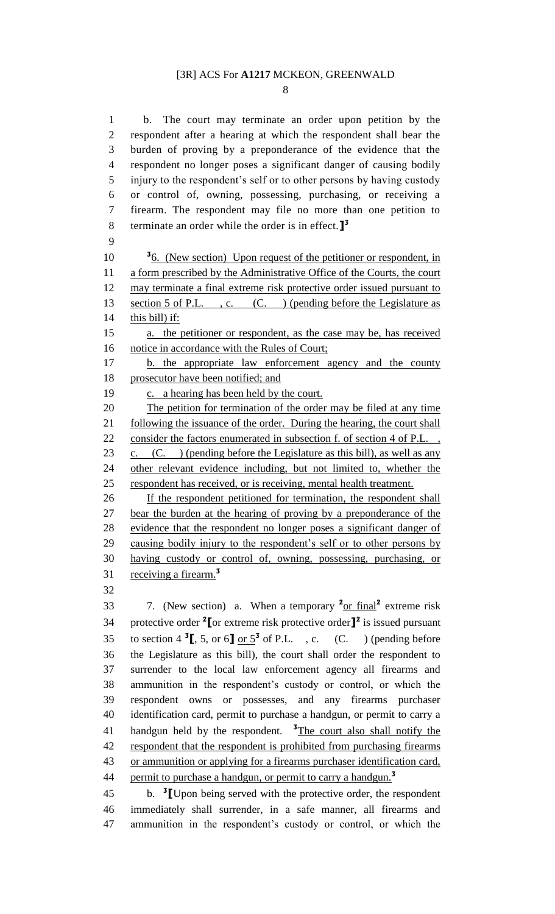b. The court may terminate an order upon petition by the respondent after a hearing at which the respondent shall bear the burden of proving by a preponderance of the evidence that the respondent no longer poses a significant danger of causing bodily injury to the respondent's self or to other persons by having custody or control of, owning, possessing, purchasing, or receiving a firearm. The respondent may file no more than one petition to terminate an order while the order is in effect.**] 3** <sup>3</sup><sup>6</sup>. (New section) Upon request of the petitioner or respondent, in a form prescribed by the Administrative Office of the Courts, the court 12 may terminate a final extreme risk protective order issued pursuant to 13 section 5 of P.L. , c. (C. ) (pending before the Legislature as 14  $\frac{\text{this bill}}{\text{if:}}$  a. the petitioner or respondent, as the case may be, has received 16 notice in accordance with the Rules of Court; 17 b. the appropriate law enforcement agency and the county 18 prosecutor have been notified; and c. a hearing has been held by the court. 20 The petition for termination of the order may be filed at any time 21 following the issuance of the order. During the hearing, the court shall 22 consider the factors enumerated in subsection f. of section 4 of P.L., 23 c. (C. ) (pending before the Legislature as this bill), as well as any other relevant evidence including, but not limited to, whether the respondent has received, or is receiving, mental health treatment. 26 If the respondent petitioned for termination, the respondent shall bear the burden at the hearing of proving by a preponderance of the evidence that the respondent no longer poses a significant danger of causing bodily injury to the respondent's self or to other persons by having custody or control of, owning, possessing, purchasing, or receiving a firearm.**<sup>3</sup>** 7. (New section) a. When a temporary **<sup>2</sup>** or final**<sup>2</sup>** extreme risk protective order **<sup>2</sup> [**or extreme risk protective order**] 2** is issued pursuant 35 to section  $4 \times 3$ , 5, or 6 or  $5 \times 3$  of P.L., c. (C. ) (pending before the Legislature as this bill), the court shall order the respondent to surrender to the local law enforcement agency all firearms and ammunition in the respondent's custody or control, or which the respondent owns or possesses, and any firearms purchaser identification card, permit to purchase a handgun, or permit to carry a 41 handgun held by the respondent. <sup>3</sup>The court also shall notify the respondent that the respondent is prohibited from purchasing firearms or ammunition or applying for a firearms purchaser identification card, permit to purchase a handgun, or permit to carry a handgun.**<sup>3</sup>** b. **<sup>3</sup> [**Upon being served with the protective order, the respondent immediately shall surrender, in a safe manner, all firearms and ammunition in the respondent's custody or control, or which the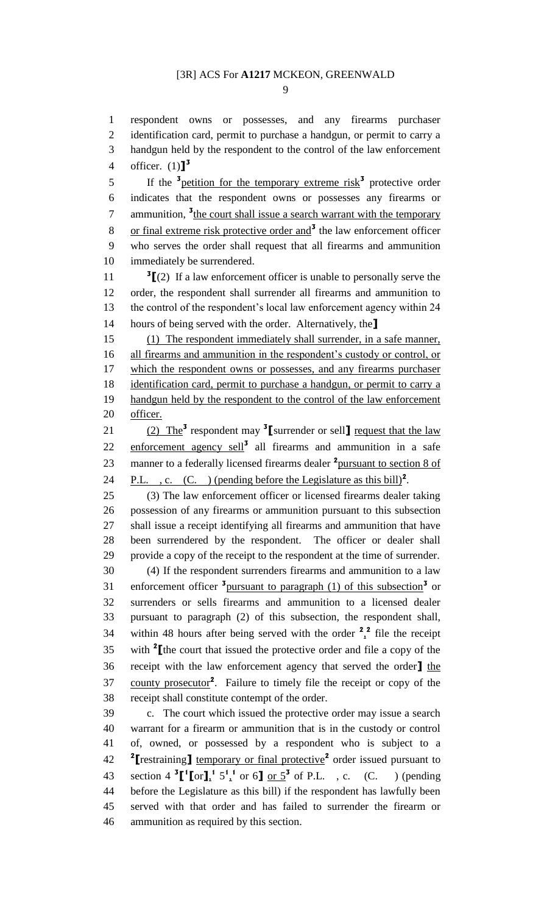$\overline{Q}$ 

 respondent owns or possesses, and any firearms purchaser identification card, permit to purchase a handgun, or permit to carry a handgun held by the respondent to the control of the law enforcement officer.  $(1)$ <sup>3</sup> 

5 If the <sup>3</sup>petition for the temporary extreme risk<sup>3</sup> protective order indicates that the respondent owns or possesses any firearms or 7 ammunition, <sup>3</sup>the court shall issue a search warrant with the temporary 8 or final extreme risk protective order and<sup>3</sup> the law enforcement officer who serves the order shall request that all firearms and ammunition immediately be surrendered.

  $\binom{3}{2}$  If a law enforcement officer is unable to personally serve the order, the respondent shall surrender all firearms and ammunition to the control of the respondent's local law enforcement agency within 24 hours of being served with the order. Alternatively, the**]**

 (1) The respondent immediately shall surrender, in a safe manner, all firearms and ammunition in the respondent's custody or control, or which the respondent owns or possesses, and any firearms purchaser 18 identification card, permit to purchase a handgun, or permit to carry a handgun held by the respondent to the control of the law enforcement officer.

21 (2) The<sup>3</sup> respondent may <sup>3</sup>[surrender or sell] request that the law 22 enforcement agency sell<sup>3</sup> all firearms and ammunition in a safe 23 manner to a federally licensed firearms dealer <sup>2</sup> pursuant to section 8 of 24 P.L. , c.  $(C. )$  (pending before the Legislature as this bill)<sup>2</sup>.

 (3) The law enforcement officer or licensed firearms dealer taking possession of any firearms or ammunition pursuant to this subsection shall issue a receipt identifying all firearms and ammunition that have been surrendered by the respondent. The officer or dealer shall provide a copy of the receipt to the respondent at the time of surrender. (4) If the respondent surrenders firearms and ammunition to a law 31 enforcement officer <sup>3</sup> pursuant to paragraph (1) of this subsection<sup>3</sup> or surrenders or sells firearms and ammunition to a licensed dealer pursuant to paragraph (2) of this subsection, the respondent shall, 34 within 48 hours after being served with the order  $\frac{22}{1}$  file the receipt 35 with <sup>2</sup> [the court that issued the protective order and file a copy of the receipt with the law enforcement agency that served the order**]** the 37 county prosecutor<sup>2</sup>. Failure to timely file the receipt or copy of the receipt shall constitute contempt of the order.

 c. The court which issued the protective order may issue a search warrant for a firearm or ammunition that is in the custody or control of, owned, or possessed by a respondent who is subject to a <sup>2</sup>[restraining] temporary or final protective<sup>2</sup> order issued pursuant to 43 section  $4 \cdot 3 \cdot \left[ \frac{1}{2} \cdot 5 \cdot \frac{1}{2} \right]$  or 6  $\left[ \frac{1}{2} \cdot 5 \cdot \frac{5}{2} \right]$  of P.L. , c. (C. ) (pending before the Legislature as this bill) if the respondent has lawfully been served with that order and has failed to surrender the firearm or ammunition as required by this section.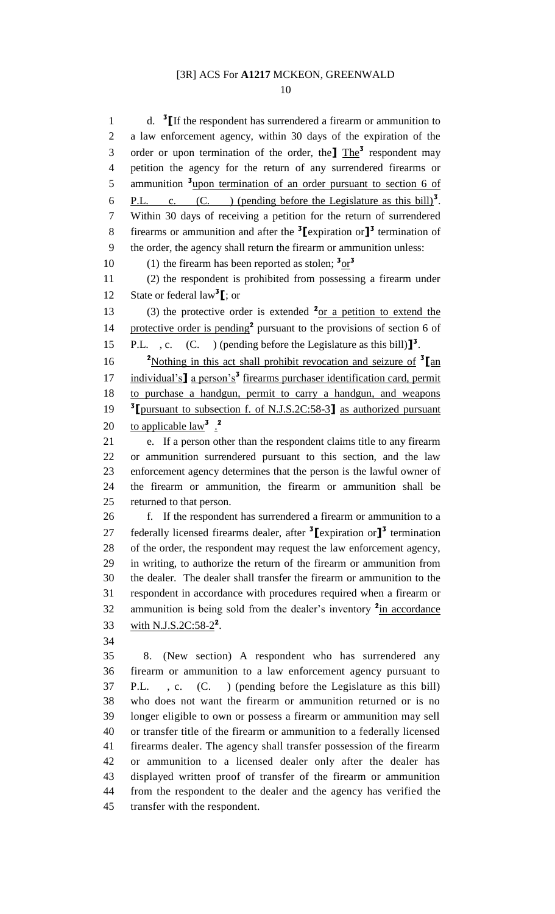d. **<sup>3</sup> [**If the respondent has surrendered a firearm or ammunition to a law enforcement agency, within 30 days of the expiration of the 3 order or upon termination of the order, the<sup>1</sup> The<sup>3</sup> respondent may petition the agency for the return of any surrendered firearms or 5 ammunition <sup>3</sup> upon termination of an order pursuant to section 6 of 6 P.L. c.  $(C.$  ) (pending before the Legislature as this bill)<sup>3</sup>. Within 30 days of receiving a petition for the return of surrendered firearms or ammunition and after the **<sup>3</sup> [**expiration or**] 3** termination of the order, the agency shall return the firearm or ammunition unless: (1) the firearm has been reported as stolen;  $\frac{30r^3}{4}$  (2) the respondent is prohibited from possessing a firearm under State or federal law**<sup>3</sup> [**; or 13 (3) the protective order is extended  $2_{\text{or a}}$  petition to extend the 14 protective order is pending<sup>2</sup> pursuant to the provisions of section 6 of 15 P.L. , c.  $(C. )$  (pending before the Legislature as this bill) $\mathbf{J}^3$ . Nothing in this act shall prohibit revocation and seizure of **<sup>3</sup> [**an 17 individual's<sup>1</sup> a person's<sup>3</sup> firearms purchaser identification card, permit to purchase a handgun, permit to carry a handgun, and weapons **[**pursuant to subsection f. of N.J.S.2C:58-3**]** as authorized pursuant to applicable law**<sup>3</sup>** . **2** e. If a person other than the respondent claims title to any firearm or ammunition surrendered pursuant to this section, and the law enforcement agency determines that the person is the lawful owner of the firearm or ammunition, the firearm or ammunition shall be returned to that person. f. If the respondent has surrendered a firearm or ammunition to a federally licensed firearms dealer, after **<sup>3</sup> [**expiration or**] 3** termination of the order, the respondent may request the law enforcement agency, in writing, to authorize the return of the firearm or ammunition from the dealer. The dealer shall transfer the firearm or ammunition to the respondent in accordance with procedures required when a firearm or 32 ammunition is being sold from the dealer's inventory <sup>2</sup>in accordance 33 with N.J.S.2C:58-2<sup>2</sup>. 8. (New section) A respondent who has surrendered any firearm or ammunition to a law enforcement agency pursuant to P.L. , c. (C. ) (pending before the Legislature as this bill) who does not want the firearm or ammunition returned or is no longer eligible to own or possess a firearm or ammunition may sell or transfer title of the firearm or ammunition to a federally licensed firearms dealer. The agency shall transfer possession of the firearm or ammunition to a licensed dealer only after the dealer has displayed written proof of transfer of the firearm or ammunition from the respondent to the dealer and the agency has verified the

transfer with the respondent.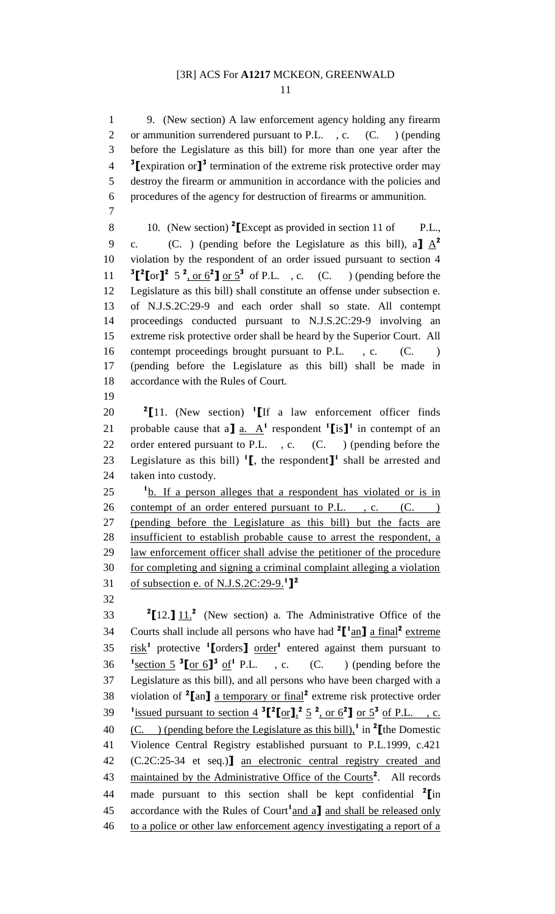11

1 9. (New section) A law enforcement agency holding any firearm 2 or ammunition surrendered pursuant to P.L., c. (C.) (pending 3 before the Legislature as this bill) for more than one year after the <sup>3</sup> Lexpiration or <sup>3</sup> termination of the extreme risk protective order may 5 destroy the firearm or ammunition in accordance with the policies and 6 procedures of the agency for destruction of firearms or ammunition. 7

10. (New section) **<sup>2</sup>** 8 **[**Except as provided in section 11 of P.L., c. (C. ) (pending before the Legislature as this bill), a  $\mathbf{A}^2$ 9 violation by the respondent of an order issued pursuant to section 4  ${}^{3}$  $[{}^{2}$  $[$  or  $]^{2}$  5  ${}^{2}$ , or  $6{}^{2}$  $]$  or  $5^{3}$  of P.L. , c. (C. ) (pending before the Legislature as this bill) shall constitute an offense under subsection e. of N.J.S.2C:29-9 and each order shall so state. All contempt proceedings conducted pursuant to N.J.S.2C:29-9 involving an extreme risk protective order shall be heard by the Superior Court. All 16 contempt proceedings brought pursuant to P.L., c. (C.) (pending before the Legislature as this bill) shall be made in accordance with the Rules of Court.

19

**2 [**11. (New section) **<sup>1</sup>** 20 **[**If a law enforcement officer finds 21 probable cause that a<sub>1</sub> a. A<sup>1</sup> respondent <sup>1</sup>[is<sub>1</sub><sup>1</sup> in contempt of an 22 order entered pursuant to P.L., c. (C.) (pending before the 23 Legislature as this bill)  ${}^{1}$ **[**, the respondent**]**<sup>1</sup> shall be arrested and 24 taken into custody.

25 <sup>1</sup>b. If a person alleges that a respondent has violated or is in 26 contempt of an order entered pursuant to P.L., c. (C.) 27 (pending before the Legislature as this bill) but the facts are 28 insufficient to establish probable cause to arrest the respondent, a 29 law enforcement officer shall advise the petitioner of the procedure 30 for completing and signing a criminal complaint alleging a violation of subsection e. of N.J.S.2C:29-9. **1 ] 2** 31

32

**2 12. 11. 11. C** (New section) a. The Administrative Office of the Courts shall include all persons who have had  $2[\text{Im}]$  a final  $2[\text{Im}]$  extreme  $\frac{\text{risk}^1}{\text{inter}}$  protective  $\frac{1}{\text{center}}$  order  $\frac{1}{\text{center}}$  entered against them pursuant to  $1\frac{\text{section 5}}{\text{section 5}}$   $\frac{3}{\text{for 6}}$   $\frac{3}{\text{of}}$  P.L. , c. (C. ) (pending before the 37 Legislature as this bill), and all persons who have been charged with a violation of **<sup>2</sup> [**an**]** a temporary or final**<sup>2</sup>** 38 extreme risk protective order **1** issued pursuant to section  $4 \cdot 3^2$  [ $2^2$  [or ],  $2^2 \cdot 5^2$ , or  $6^2$ ] or  $5^3$  of P.L. , c. (C. ) (pending before the Legislature as this bill),**<sup>1</sup>** in **<sup>2</sup>** 40 **[**the Domestic 41 Violence Central Registry established pursuant to P.L.1999, c.421 42 (C.2C:25-34 et seq.)**]** an electronic central registry created and 43 maintained by the Administrative Office of the Courts<sup>2</sup>. All records made pursuant to this section shall be kept confidential **<sup>2</sup>** 44 **[**in 45 accordance with the Rules of Court<sup>1</sup> and a<sup>1</sup> and shall be released only 46 to a police or other law enforcement agency investigating a report of a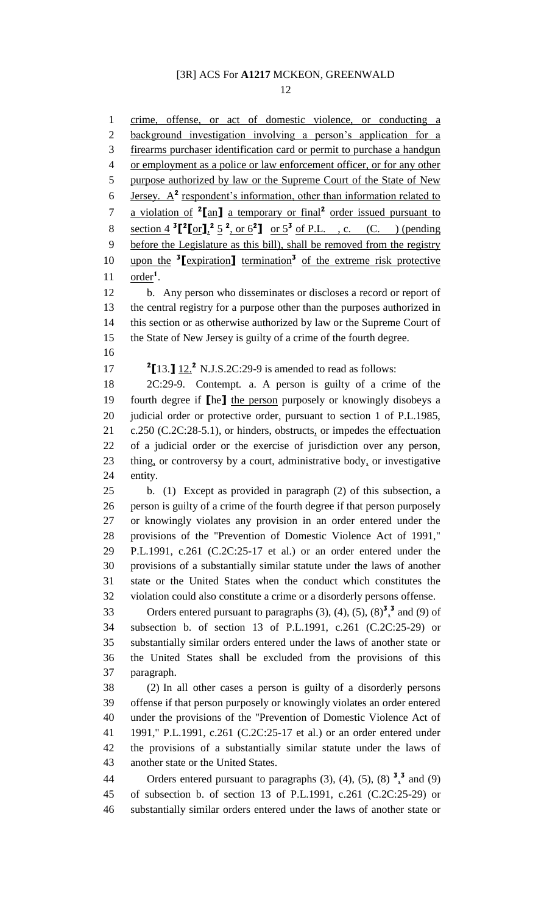crime, offense, or act of domestic violence, or conducting a background investigation involving a person's application for a firearms purchaser identification card or permit to purchase a handgun or employment as a police or law enforcement officer, or for any other 5 purpose authorized by law or the Supreme Court of the State of New 6 Lersey.  $A^2$  respondent's information, other than information related to 7 a violation of <sup>2</sup>[an] a temporary or final<sup>2</sup> order issued pursuant to 8 section  $4^{3}$   $[{}^{2}$   $[$  or  $]^{2}$ ,  $\frac{5}{9}$ ,  $\frac{2}{9}$ , or  $\frac{6^{2}}{9}$  or  $\frac{5^{3}}{9}$  of P.L., c. (C. ) (pending before the Legislature as this bill), shall be removed from the registry 10 upon the <sup>3</sup>[expiration] termination<sup>3</sup> of the extreme risk protective 11 order<sup>1</sup>. b. Any person who disseminates or discloses a record or report of the central registry for a purpose other than the purposes authorized in this section or as otherwise authorized by law or the Supreme Court of the State of New Jersey is guilty of a crime of the fourth degree.  $\frac{2}{13.1}$   $\frac{12.2}{12.1}$  N.J.S.2C:29-9 is amended to read as follows: 2C:29-9. Contempt. a. A person is guilty of a crime of the fourth degree if **[**he**]** the person purposely or knowingly disobeys a judicial order or protective order, pursuant to section 1 of P.L.1985, c.250 (C.2C:28-5.1), or hinders, obstructs, or impedes the effectuation of a judicial order or the exercise of jurisdiction over any person, thing, or controversy by a court, administrative body, or investigative entity. b. (1) Except as provided in paragraph (2) of this subsection, a person is guilty of a crime of the fourth degree if that person purposely or knowingly violates any provision in an order entered under the provisions of the "Prevention of Domestic Violence Act of 1991," P.L.1991, c.261 (C.2C:25-17 et al.) or an order entered under the provisions of a substantially similar statute under the laws of another state or the United States when the conduct which constitutes the violation could also constitute a crime or a disorderly persons offense. 33 Orders entered pursuant to paragraphs  $(3)$ ,  $(4)$ ,  $(5)$ ,  $(8)^{3}$ ,  $(9)$  and  $(9)$  of subsection b. of section 13 of P.L.1991, c.261 (C.2C:25-29) or substantially similar orders entered under the laws of another state or the United States shall be excluded from the provisions of this paragraph. (2) In all other cases a person is guilty of a disorderly persons offense if that person purposely or knowingly violates an order entered under the provisions of the "Prevention of Domestic Violence Act of 1991," P.L.1991, c.261 (C.2C:25-17 et al.) or an order entered under the provisions of a substantially similar statute under the laws of another state or the United States. 44 Orders entered pursuant to paragraphs  $(3)$ ,  $(4)$ ,  $(5)$ ,  $(8)$ <sup>3</sup>,<sup>3</sup> and  $(9)$ of subsection b. of section 13 of P.L.1991, c.261 (C.2C:25-29) or

substantially similar orders entered under the laws of another state or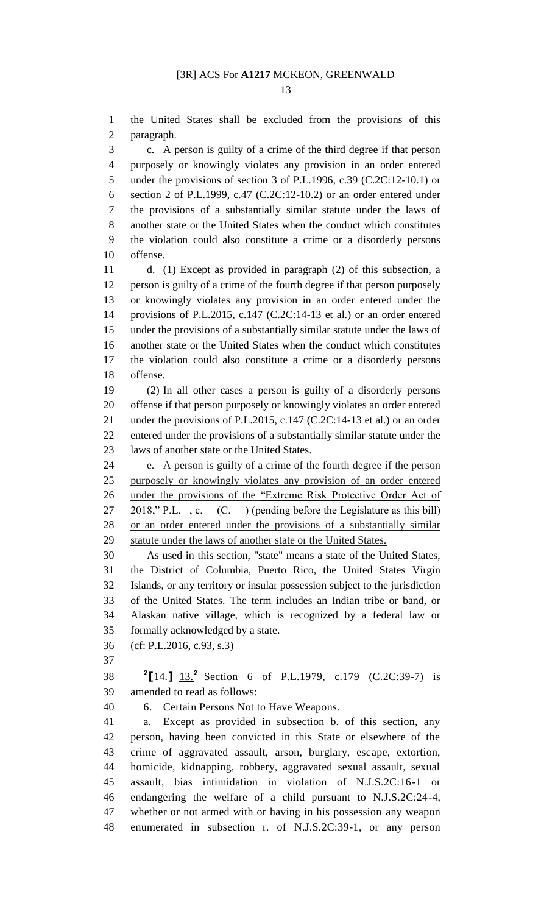the United States shall be excluded from the provisions of this paragraph.

 c. A person is guilty of a crime of the third degree if that person purposely or knowingly violates any provision in an order entered under the provisions of section 3 of P.L.1996, c.39 (C.2C:12-10.1) or section 2 of P.L.1999, c.47 (C.2C:12-10.2) or an order entered under the provisions of a substantially similar statute under the laws of another state or the United States when the conduct which constitutes the violation could also constitute a crime or a disorderly persons offense.

 d. (1) Except as provided in paragraph (2) of this subsection, a person is guilty of a crime of the fourth degree if that person purposely or knowingly violates any provision in an order entered under the provisions of P.L.2015, c.147 (C.2C:14-13 et al.) or an order entered under the provisions of a substantially similar statute under the laws of another state or the United States when the conduct which constitutes the violation could also constitute a crime or a disorderly persons offense.

 (2) In all other cases a person is guilty of a disorderly persons offense if that person purposely or knowingly violates an order entered under the provisions of P.L.2015, c.147 (C.2C:14-13 et al.) or an order entered under the provisions of a substantially similar statute under the laws of another state or the United States.

24 e. A person is guilty of a crime of the fourth degree if the person purposely or knowingly violates any provision of an order entered under the provisions of the "Extreme Risk Protective Order Act of 27 2018," P.L., c. (C.) (pending before the Legislature as this bill) or an order entered under the provisions of a substantially similar statute under the laws of another state or the United States.

 As used in this section, "state" means a state of the United States, the District of Columbia, Puerto Rico, the United States Virgin Islands, or any territory or insular possession subject to the jurisdiction of the United States. The term includes an Indian tribe or band, or Alaskan native village, which is recognized by a federal law or formally acknowledged by a state.

(cf: P.L.2016, c.93, s.3)

**2**  $\begin{bmatrix} 14. \end{bmatrix}$   $\frac{13.2}{13.2}$  Section 6 of P.L.1979, c.179 (C.2C:39-7) is amended to read as follows:

6. Certain Persons Not to Have Weapons.

 a. Except as provided in subsection b. of this section, any person, having been convicted in this State or elsewhere of the crime of aggravated assault, arson, burglary, escape, extortion, homicide, kidnapping, robbery, aggravated sexual assault, sexual assault, bias intimidation in violation of N.J.S.2C:16-1 or endangering the welfare of a child pursuant to N.J.S.2C:24-4, whether or not armed with or having in his possession any weapon enumerated in subsection r. of N.J.S.2C:39-1, or any person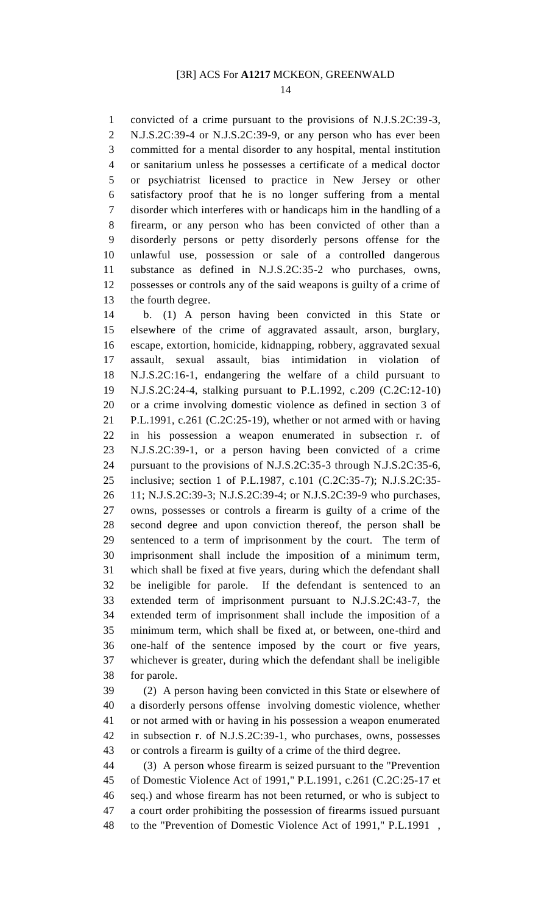convicted of a crime pursuant to the provisions of N.J.S.2C:39-3, N.J.S.2C:39-4 or N.J.S.2C:39-9, or any person who has ever been committed for a mental disorder to any hospital, mental institution or sanitarium unless he possesses a certificate of a medical doctor or psychiatrist licensed to practice in New Jersey or other satisfactory proof that he is no longer suffering from a mental disorder which interferes with or handicaps him in the handling of a firearm, or any person who has been convicted of other than a disorderly persons or petty disorderly persons offense for the unlawful use, possession or sale of a controlled dangerous substance as defined in N.J.S.2C:35-2 who purchases, owns, possesses or controls any of the said weapons is guilty of a crime of the fourth degree.

 b. (1) A person having been convicted in this State or elsewhere of the crime of aggravated assault, arson, burglary, escape, extortion, homicide, kidnapping, robbery, aggravated sexual assault, sexual assault, bias intimidation in violation of N.J.S.2C:16-1, endangering the welfare of a child pursuant to N.J.S.2C:24-4, stalking pursuant to P.L.1992, c.209 (C.2C:12-10) or a crime involving domestic violence as defined in section 3 of P.L.1991, c.261 (C.2C:25-19), whether or not armed with or having in his possession a weapon enumerated in subsection r. of N.J.S.2C:39-1, or a person having been convicted of a crime pursuant to the provisions of N.J.S.2C:35-3 through N.J.S.2C:35-6, inclusive; section 1 of P.L.1987, c.101 (C.2C:35-7); N.J.S.2C:35- 11; N.J.S.2C:39-3; N.J.S.2C:39-4; or N.J.S.2C:39-9 who purchases, owns, possesses or controls a firearm is guilty of a crime of the second degree and upon conviction thereof, the person shall be sentenced to a term of imprisonment by the court. The term of imprisonment shall include the imposition of a minimum term, which shall be fixed at five years, during which the defendant shall be ineligible for parole. If the defendant is sentenced to an extended term of imprisonment pursuant to N.J.S.2C:43-7, the extended term of imprisonment shall include the imposition of a minimum term, which shall be fixed at, or between, one-third and one-half of the sentence imposed by the court or five years, whichever is greater, during which the defendant shall be ineligible for parole.

 (2) A person having been convicted in this State or elsewhere of a disorderly persons offense involving domestic violence, whether or not armed with or having in his possession a weapon enumerated in subsection r. of N.J.S.2C:39-1, who purchases, owns, possesses or controls a firearm is guilty of a crime of the third degree.

 (3) A person whose firearm is seized pursuant to the "Prevention of Domestic Violence Act of 1991," P.L.1991, c.261 (C.2C:25-17 et seq.) and whose firearm has not been returned, or who is subject to a court order prohibiting the possession of firearms issued pursuant to the "Prevention of Domestic Violence Act of 1991," P.L.1991 ,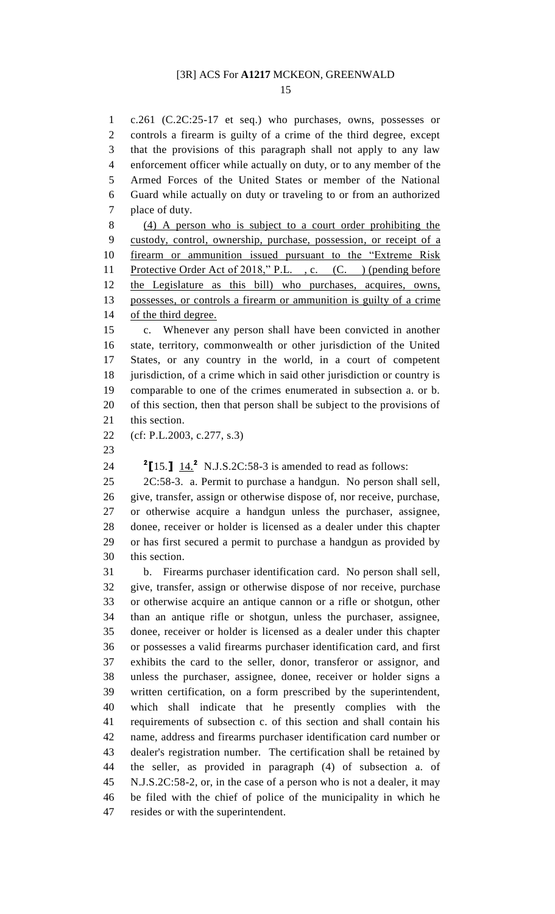c.261 (C.2C:25-17 et seq.) who purchases, owns, possesses or controls a firearm is guilty of a crime of the third degree, except that the provisions of this paragraph shall not apply to any law enforcement officer while actually on duty, or to any member of the Armed Forces of the United States or member of the National Guard while actually on duty or traveling to or from an authorized place of duty. (4) A person who is subject to a court order prohibiting the custody, control, ownership, purchase, possession, or receipt of a firearm or ammunition issued pursuant to the "Extreme Risk

11 Protective Order Act of 2018," P.L., c. (C.) (pending before

 the Legislature as this bill) who purchases, acquires, owns, possesses, or controls a firearm or ammunition is guilty of a crime 14 of the third degree.

 c. Whenever any person shall have been convicted in another state, territory, commonwealth or other jurisdiction of the United States, or any country in the world, in a court of competent jurisdiction, of a crime which in said other jurisdiction or country is comparable to one of the crimes enumerated in subsection a. or b. of this section, then that person shall be subject to the provisions of this section.

- 
- (cf: P.L.2003, c.277, s.3)
- 

24  $\text{I}[15.]\text{I}[4.2 \text{ N.J.S.2C:58-3 is amended to read as follows:}$ 

 2C:58-3. a. Permit to purchase a handgun. No person shall sell, give, transfer, assign or otherwise dispose of, nor receive, purchase, or otherwise acquire a handgun unless the purchaser, assignee, donee, receiver or holder is licensed as a dealer under this chapter or has first secured a permit to purchase a handgun as provided by this section.

 b. Firearms purchaser identification card. No person shall sell, give, transfer, assign or otherwise dispose of nor receive, purchase or otherwise acquire an antique cannon or a rifle or shotgun, other than an antique rifle or shotgun, unless the purchaser, assignee, donee, receiver or holder is licensed as a dealer under this chapter or possesses a valid firearms purchaser identification card, and first exhibits the card to the seller, donor, transferor or assignor, and unless the purchaser, assignee, donee, receiver or holder signs a written certification, on a form prescribed by the superintendent, which shall indicate that he presently complies with the requirements of subsection c. of this section and shall contain his name, address and firearms purchaser identification card number or dealer's registration number. The certification shall be retained by the seller, as provided in paragraph (4) of subsection a. of N.J.S.2C:58-2, or, in the case of a person who is not a dealer, it may be filed with the chief of police of the municipality in which he resides or with the superintendent.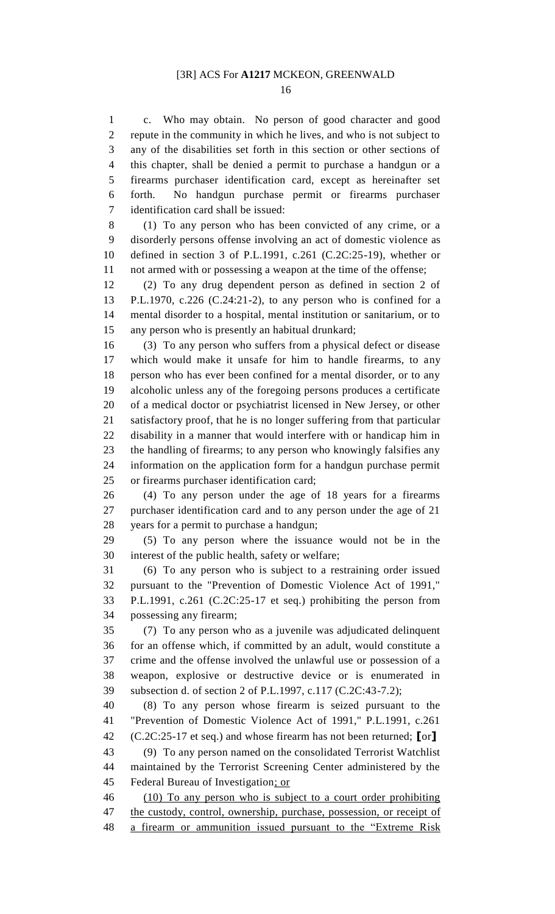c. Who may obtain. No person of good character and good repute in the community in which he lives, and who is not subject to any of the disabilities set forth in this section or other sections of this chapter, shall be denied a permit to purchase a handgun or a firearms purchaser identification card, except as hereinafter set forth. No handgun purchase permit or firearms purchaser identification card shall be issued:

 (1) To any person who has been convicted of any crime, or a disorderly persons offense involving an act of domestic violence as defined in section 3 of P.L.1991, c.261 (C.2C:25-19), whether or not armed with or possessing a weapon at the time of the offense;

 (2) To any drug dependent person as defined in section 2 of P.L.1970, c.226 (C.24:21-2), to any person who is confined for a mental disorder to a hospital, mental institution or sanitarium, or to any person who is presently an habitual drunkard;

 (3) To any person who suffers from a physical defect or disease which would make it unsafe for him to handle firearms, to any person who has ever been confined for a mental disorder, or to any alcoholic unless any of the foregoing persons produces a certificate of a medical doctor or psychiatrist licensed in New Jersey, or other satisfactory proof, that he is no longer suffering from that particular disability in a manner that would interfere with or handicap him in the handling of firearms; to any person who knowingly falsifies any information on the application form for a handgun purchase permit or firearms purchaser identification card;

 (4) To any person under the age of 18 years for a firearms purchaser identification card and to any person under the age of 21 years for a permit to purchase a handgun;

 (5) To any person where the issuance would not be in the interest of the public health, safety or welfare;

 (6) To any person who is subject to a restraining order issued pursuant to the "Prevention of Domestic Violence Act of 1991," P.L.1991, c.261 (C.2C:25-17 et seq.) prohibiting the person from possessing any firearm;

 (7) To any person who as a juvenile was adjudicated delinquent for an offense which, if committed by an adult, would constitute a crime and the offense involved the unlawful use or possession of a weapon, explosive or destructive device or is enumerated in subsection d. of section 2 of P.L.1997, c.117 (C.2C:43-7.2);

 (8) To any person whose firearm is seized pursuant to the "Prevention of Domestic Violence Act of 1991," P.L.1991, c.261 (C.2C:25-17 et seq.) and whose firearm has not been returned; **[**or**]** (9) To any person named on the consolidated Terrorist Watchlist maintained by the Terrorist Screening Center administered by the Federal Bureau of Investigation; or

 (10) To any person who is subject to a court order prohibiting 47 the custody, control, ownership, purchase, possession, or receipt of a firearm or ammunition issued pursuant to the "Extreme Risk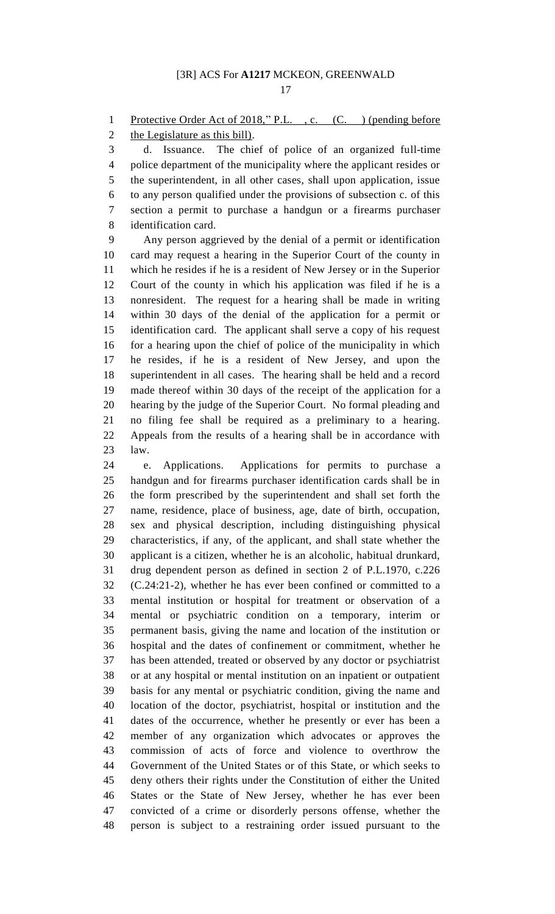Protective Order Act of 2018," P.L. , c. (C. ) (pending before 2 the Legislature as this bill).

 d. Issuance. The chief of police of an organized full-time police department of the municipality where the applicant resides or the superintendent, in all other cases, shall upon application, issue to any person qualified under the provisions of subsection c. of this section a permit to purchase a handgun or a firearms purchaser identification card.

 Any person aggrieved by the denial of a permit or identification card may request a hearing in the Superior Court of the county in which he resides if he is a resident of New Jersey or in the Superior Court of the county in which his application was filed if he is a nonresident. The request for a hearing shall be made in writing within 30 days of the denial of the application for a permit or identification card. The applicant shall serve a copy of his request 16 for a hearing upon the chief of police of the municipality in which he resides, if he is a resident of New Jersey, and upon the superintendent in all cases. The hearing shall be held and a record made thereof within 30 days of the receipt of the application for a hearing by the judge of the Superior Court. No formal pleading and no filing fee shall be required as a preliminary to a hearing. Appeals from the results of a hearing shall be in accordance with law.

 e. Applications. Applications for permits to purchase a handgun and for firearms purchaser identification cards shall be in the form prescribed by the superintendent and shall set forth the name, residence, place of business, age, date of birth, occupation, sex and physical description, including distinguishing physical characteristics, if any, of the applicant, and shall state whether the applicant is a citizen, whether he is an alcoholic, habitual drunkard, drug dependent person as defined in section 2 of P.L.1970, c.226 (C.24:21-2), whether he has ever been confined or committed to a mental institution or hospital for treatment or observation of a mental or psychiatric condition on a temporary, interim or permanent basis, giving the name and location of the institution or hospital and the dates of confinement or commitment, whether he has been attended, treated or observed by any doctor or psychiatrist or at any hospital or mental institution on an inpatient or outpatient basis for any mental or psychiatric condition, giving the name and location of the doctor, psychiatrist, hospital or institution and the dates of the occurrence, whether he presently or ever has been a member of any organization which advocates or approves the commission of acts of force and violence to overthrow the Government of the United States or of this State, or which seeks to deny others their rights under the Constitution of either the United States or the State of New Jersey, whether he has ever been convicted of a crime or disorderly persons offense, whether the person is subject to a restraining order issued pursuant to the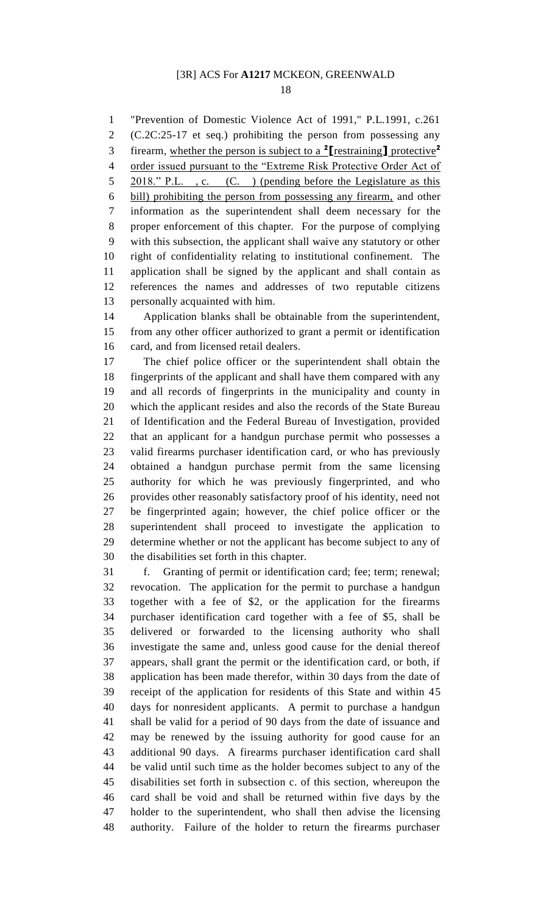"Prevention of Domestic Violence Act of 1991," P.L.1991, c.261 (C.2C:25-17 et seq.) prohibiting the person from possessing any firearm, whether the person is subject to a **<sup>2</sup> [**restraining**]** protective**<sup>2</sup>** order issued pursuant to the "Extreme Risk Protective Order Act of 5 2018." P.L., c. (C.) (pending before the Legislature as this bill) prohibiting the person from possessing any firearm, and other information as the superintendent shall deem necessary for the proper enforcement of this chapter. For the purpose of complying with this subsection, the applicant shall waive any statutory or other right of confidentiality relating to institutional confinement. The application shall be signed by the applicant and shall contain as references the names and addresses of two reputable citizens personally acquainted with him.

 Application blanks shall be obtainable from the superintendent, from any other officer authorized to grant a permit or identification card, and from licensed retail dealers.

 The chief police officer or the superintendent shall obtain the fingerprints of the applicant and shall have them compared with any and all records of fingerprints in the municipality and county in which the applicant resides and also the records of the State Bureau of Identification and the Federal Bureau of Investigation, provided that an applicant for a handgun purchase permit who possesses a valid firearms purchaser identification card, or who has previously obtained a handgun purchase permit from the same licensing authority for which he was previously fingerprinted, and who provides other reasonably satisfactory proof of his identity, need not be fingerprinted again; however, the chief police officer or the superintendent shall proceed to investigate the application to determine whether or not the applicant has become subject to any of the disabilities set forth in this chapter.

 f. Granting of permit or identification card; fee; term; renewal; revocation. The application for the permit to purchase a handgun together with a fee of \$2, or the application for the firearms purchaser identification card together with a fee of \$5, shall be delivered or forwarded to the licensing authority who shall investigate the same and, unless good cause for the denial thereof appears, shall grant the permit or the identification card, or both, if application has been made therefor, within 30 days from the date of receipt of the application for residents of this State and within 45 days for nonresident applicants. A permit to purchase a handgun shall be valid for a period of 90 days from the date of issuance and may be renewed by the issuing authority for good cause for an additional 90 days. A firearms purchaser identification card shall be valid until such time as the holder becomes subject to any of the disabilities set forth in subsection c. of this section, whereupon the card shall be void and shall be returned within five days by the holder to the superintendent, who shall then advise the licensing authority. Failure of the holder to return the firearms purchaser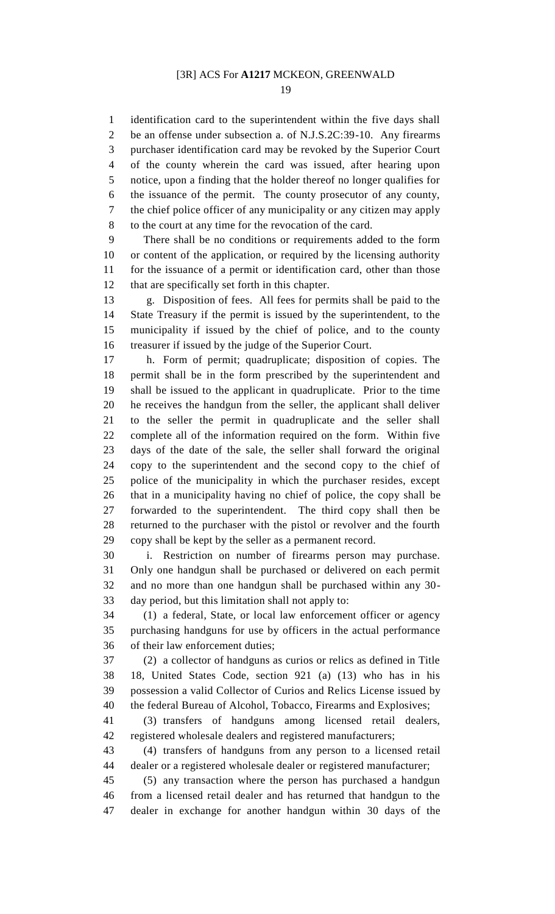identification card to the superintendent within the five days shall be an offense under subsection a. of N.J.S.2C:39-10. Any firearms purchaser identification card may be revoked by the Superior Court of the county wherein the card was issued, after hearing upon notice, upon a finding that the holder thereof no longer qualifies for the issuance of the permit. The county prosecutor of any county, the chief police officer of any municipality or any citizen may apply to the court at any time for the revocation of the card.

 There shall be no conditions or requirements added to the form or content of the application, or required by the licensing authority for the issuance of a permit or identification card, other than those that are specifically set forth in this chapter.

 g. Disposition of fees. All fees for permits shall be paid to the State Treasury if the permit is issued by the superintendent, to the municipality if issued by the chief of police, and to the county treasurer if issued by the judge of the Superior Court.

 h. Form of permit; quadruplicate; disposition of copies. The permit shall be in the form prescribed by the superintendent and shall be issued to the applicant in quadruplicate. Prior to the time he receives the handgun from the seller, the applicant shall deliver to the seller the permit in quadruplicate and the seller shall complete all of the information required on the form. Within five days of the date of the sale, the seller shall forward the original copy to the superintendent and the second copy to the chief of police of the municipality in which the purchaser resides, except that in a municipality having no chief of police, the copy shall be forwarded to the superintendent. The third copy shall then be returned to the purchaser with the pistol or revolver and the fourth copy shall be kept by the seller as a permanent record.

 i. Restriction on number of firearms person may purchase. Only one handgun shall be purchased or delivered on each permit and no more than one handgun shall be purchased within any 30- day period, but this limitation shall not apply to:

 (1) a federal, State, or local law enforcement officer or agency purchasing handguns for use by officers in the actual performance of their law enforcement duties;

 (2) a collector of handguns as curios or relics as defined in Title 18, United States Code, section 921 (a) (13) who has in his possession a valid Collector of Curios and Relics License issued by the federal Bureau of Alcohol, Tobacco, Firearms and Explosives;

 (3) transfers of handguns among licensed retail dealers, registered wholesale dealers and registered manufacturers;

 (4) transfers of handguns from any person to a licensed retail dealer or a registered wholesale dealer or registered manufacturer;

 (5) any transaction where the person has purchased a handgun from a licensed retail dealer and has returned that handgun to the dealer in exchange for another handgun within 30 days of the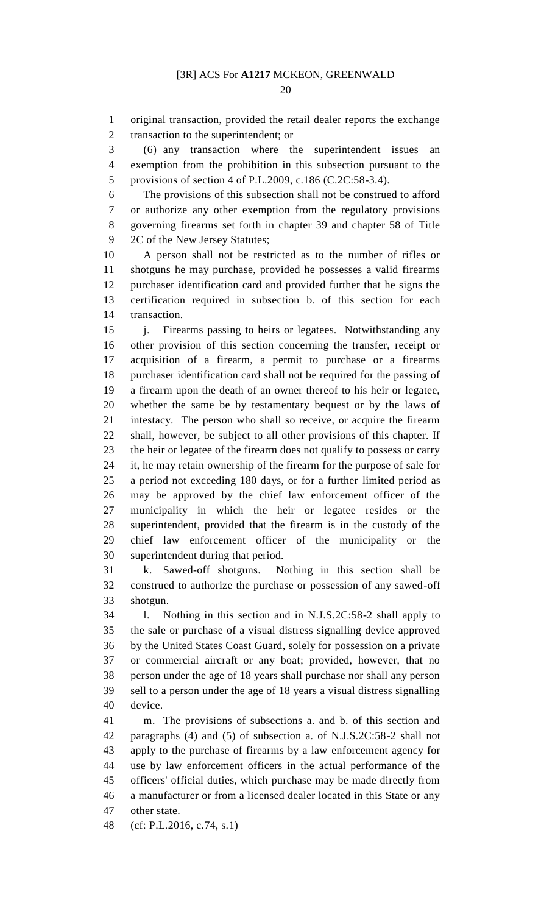original transaction, provided the retail dealer reports the exchange transaction to the superintendent; or

 (6) any transaction where the superintendent issues an exemption from the prohibition in this subsection pursuant to the provisions of section 4 of P.L.2009, c.186 (C.2C:58-3.4).

 The provisions of this subsection shall not be construed to afford or authorize any other exemption from the regulatory provisions governing firearms set forth in chapter 39 and chapter 58 of Title 2C of the New Jersey Statutes;

 A person shall not be restricted as to the number of rifles or shotguns he may purchase, provided he possesses a valid firearms purchaser identification card and provided further that he signs the certification required in subsection b. of this section for each transaction.

 j. Firearms passing to heirs or legatees. Notwithstanding any other provision of this section concerning the transfer, receipt or acquisition of a firearm, a permit to purchase or a firearms purchaser identification card shall not be required for the passing of a firearm upon the death of an owner thereof to his heir or legatee, whether the same be by testamentary bequest or by the laws of intestacy. The person who shall so receive, or acquire the firearm shall, however, be subject to all other provisions of this chapter. If the heir or legatee of the firearm does not qualify to possess or carry it, he may retain ownership of the firearm for the purpose of sale for a period not exceeding 180 days, or for a further limited period as may be approved by the chief law enforcement officer of the municipality in which the heir or legatee resides or the superintendent, provided that the firearm is in the custody of the chief law enforcement officer of the municipality or the superintendent during that period.

 k. Sawed-off shotguns. Nothing in this section shall be construed to authorize the purchase or possession of any sawed-off shotgun.

 l. Nothing in this section and in N.J.S.2C:58-2 shall apply to the sale or purchase of a visual distress signalling device approved by the United States Coast Guard, solely for possession on a private or commercial aircraft or any boat; provided, however, that no person under the age of 18 years shall purchase nor shall any person sell to a person under the age of 18 years a visual distress signalling device.

 m. The provisions of subsections a. and b. of this section and paragraphs (4) and (5) of subsection a. of N.J.S.2C:58-2 shall not apply to the purchase of firearms by a law enforcement agency for use by law enforcement officers in the actual performance of the officers' official duties, which purchase may be made directly from a manufacturer or from a licensed dealer located in this State or any other state.

(cf: P.L.2016, c.74, s.1)